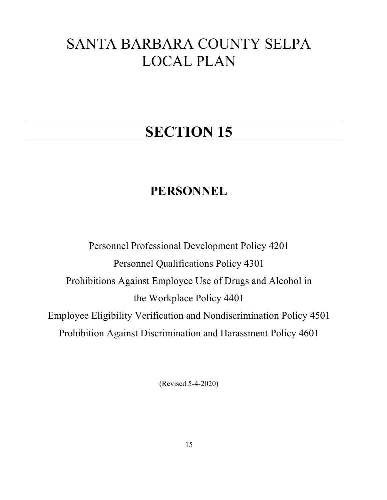# SANTA BARBARA COUNTY SELPA LOCAL PLAN

# SECTION 15

# PERSONNEL

Personnel Professional Development Policy 4201 Personnel Qualifications Policy 4301 Prohibitions Against Employee Use of Drugs and Alcohol in the Workplace Policy 4401 Employee Eligibility Verification and Nondiscrimination Policy 4501 Prohibition Against Discrimination and Harassment Policy 4601

(Revised 5-4-2020)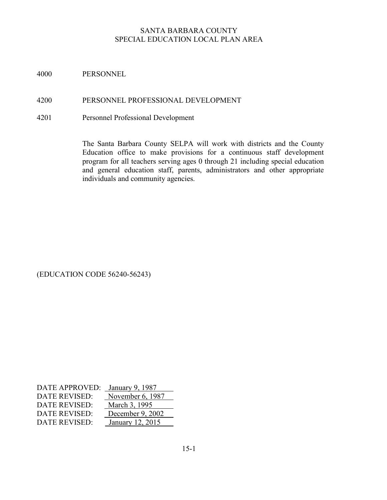4000 PERSONNEL

#### 4200 PERSONNEL PROFESSIONAL DEVELOPMENT

4201 Personnel Professional Development

The Santa Barbara County SELPA will work with districts and the County Education office to make provisions for a continuous staff development program for all teachers serving ages 0 through 21 including special education and general education staff, parents, administrators and other appropriate individuals and community agencies.

(EDUCATION CODE 56240-56243)

| <b>DATE APPROVED:</b> | January 9, 1987  |
|-----------------------|------------------|
| <b>DATE REVISED:</b>  | November 6, 1987 |
| DATE REVISED:         | March 3, 1995    |
| <b>DATE REVISED:</b>  | December 9, 2002 |
| <b>DATE REVISED:</b>  | January 12, 2015 |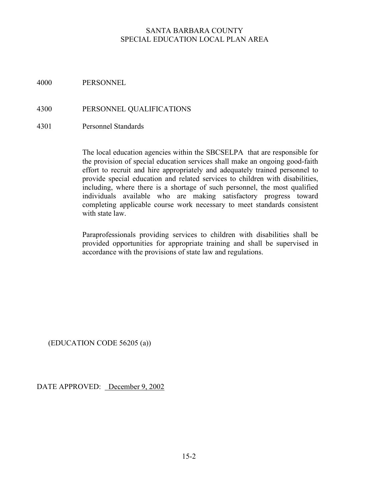#### 4000 PERSONNEL

#### 4300 PERSONNEL QUALIFICATIONS

#### 4301 Personnel Standards

The local education agencies within the SBCSELPA that are responsible for the provision of special education services shall make an ongoing good-faith effort to recruit and hire appropriately and adequately trained personnel to provide special education and related services to children with disabilities, including, where there is a shortage of such personnel, the most qualified individuals available who are making satisfactory progress toward completing applicable course work necessary to meet standards consistent with state law.

Paraprofessionals providing services to children with disabilities shall be provided opportunities for appropriate training and shall be supervised in accordance with the provisions of state law and regulations.

(EDUCATION CODE 56205 (a))

DATE APPROVED: December 9, 2002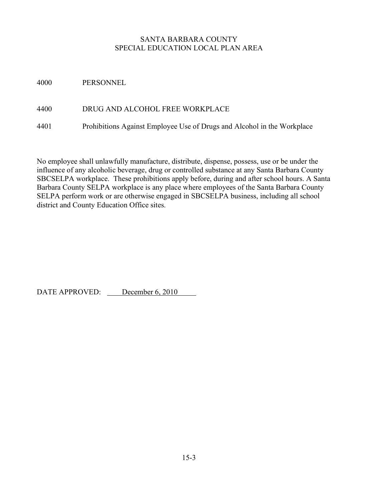4000 PERSONNEL

## 4400 DRUG AND ALCOHOL FREE WORKPLACE

4401 Prohibitions Against Employee Use of Drugs and Alcohol in the Workplace

No employee shall unlawfully manufacture, distribute, dispense, possess, use or be under the influence of any alcoholic beverage, drug or controlled substance at any Santa Barbara County SBCSELPA workplace. These prohibitions apply before, during and after school hours. A Santa Barbara County SELPA workplace is any place where employees of the Santa Barbara County SELPA perform work or are otherwise engaged in SBCSELPA business, including all school district and County Education Office sites.

DATE APPROVED: December 6, 2010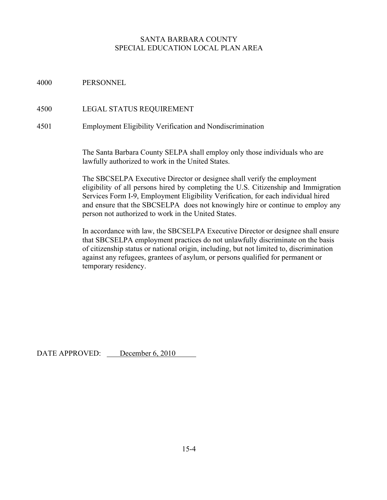4000 PERSONNEL

4500 LEGAL STATUS REQUIREMENT

4501 Employment Eligibility Verification and Nondiscrimination

 The Santa Barbara County SELPA shall employ only those individuals who are lawfully authorized to work in the United States.

 The SBCSELPA Executive Director or designee shall verify the employment eligibility of all persons hired by completing the U.S. Citizenship and Immigration Services Form I-9, Employment Eligibility Verification, for each individual hired and ensure that the SBCSELPA does not knowingly hire or continue to employ any person not authorized to work in the United States.

 In accordance with law, the SBCSELPA Executive Director or designee shall ensure that SBCSELPA employment practices do not unlawfully discriminate on the basis of citizenship status or national origin, including, but not limited to, discrimination against any refugees, grantees of asylum, or persons qualified for permanent or temporary residency.

DATE APPROVED: December 6, 2010